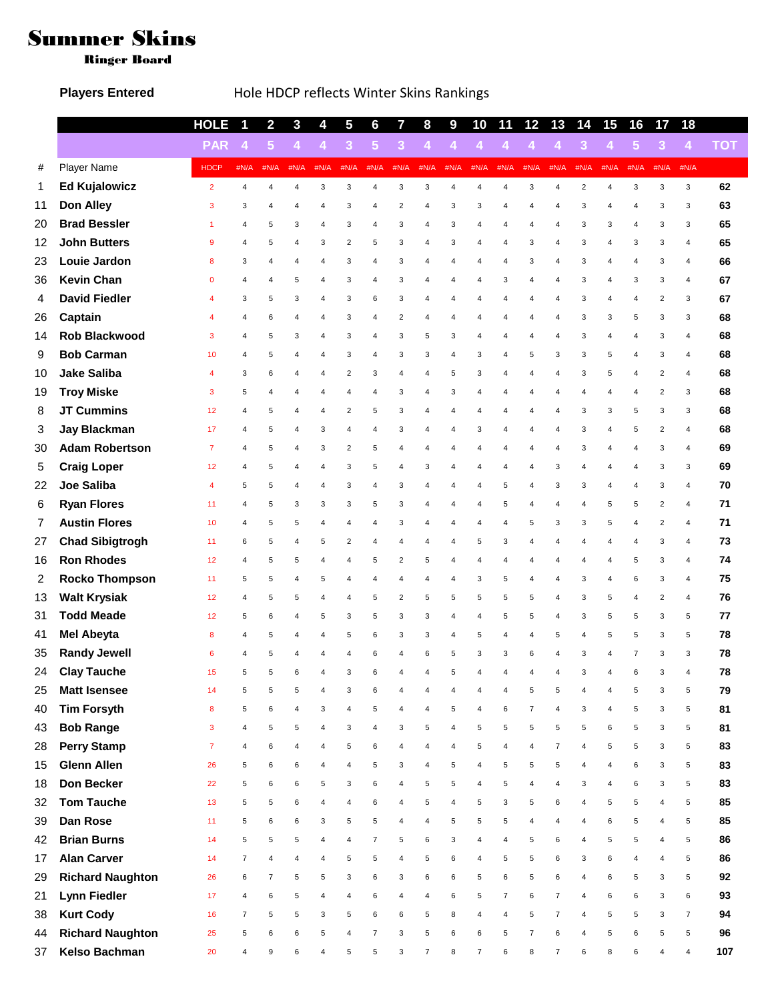## Summer Skins

Ringer Board

## Players Entered **Hole HDCP** reflects Winter Skins Rankings

|    |                         | <b>HOLE</b>    | 1              | $\overline{2}$ | $\mathbf{3}$         | 4              | 5                       | 6              | 7                       | 8              | 9                    | 10             | 11             | 12                   | 13                      | 14             | 15                   | 16             | 17             | 18             |            |
|----|-------------------------|----------------|----------------|----------------|----------------------|----------------|-------------------------|----------------|-------------------------|----------------|----------------------|----------------|----------------|----------------------|-------------------------|----------------|----------------------|----------------|----------------|----------------|------------|
|    |                         | <b>PAR</b>     | $\overline{4}$ | 5 <sup>5</sup> | $\blacktriangleleft$ | $\overline{4}$ | $\mathbf{3}$            | 5 <sub>5</sub> | $\mathbf{3}$            | 4              | $\blacktriangleleft$ | $\overline{4}$ | $\overline{4}$ | $\blacktriangleleft$ | $\overline{4}$          | $\overline{3}$ | $\blacktriangleleft$ | $5\phantom{1}$ | 3 <sup>2</sup> | $\overline{4}$ | <b>TOT</b> |
| #  | Player Name             | <b>HDCP</b>    | #N/A           | #N/A           | #N/A                 | #N/A           | #N/A                    | #N/A           | #N/A                    | #N/A           | #N/A                 | #N/A           | #N/A           | #N/A                 | #N/A                    | #N/A           | #N/A                 | #N/A           | #N/A           | #N/A           |            |
| 1  | <b>Ed Kujalowicz</b>    | $\overline{2}$ | $\overline{4}$ | $\overline{4}$ | $\overline{4}$       | 3              | 3                       | $\overline{4}$ | 3                       | 3              | 4                    | $\overline{4}$ | 4              | 3                    | $\overline{4}$          | $\overline{c}$ | $\overline{4}$       | 3              | 3              | 3              | 62         |
| 11 | Don Alley               | 3              | 3              | 4              | 4                    | 4              | 3                       | $\overline{4}$ | $\sqrt{2}$              | 4              | 3                    | 3              | 4              | 4                    | 4                       | 3              | 4                    | $\overline{4}$ | 3              | 3              | 63         |
| 20 | <b>Brad Bessler</b>     | 1              | 4              | 5              | 3                    | 4              | 3                       | 4              | 3                       | 4              | 3                    | 4              | 4              | 4                    | 4                       | 3              | 3                    | 4              | 3              | 3              | 65         |
| 12 | <b>John Butters</b>     | 9              | 4              | 5              | 4                    | 3              | $\overline{2}$          | 5              | 3                       | 4              | 3                    | 4              | 4              | 3                    | 4                       | 3              | 4                    | 3              | 3              | $\overline{4}$ | 65         |
| 23 | Louie Jardon            | 8              | 3              | 4              | 4                    | 4              | 3                       | 4              | 3                       | 4              | 4                    | 4              | 4              | 3                    | $\overline{\mathbf{4}}$ | 3              | 4                    | 4              | 3              | $\overline{4}$ | 66         |
| 36 | <b>Kevin Chan</b>       | 0              | 4              | 4              | 5                    | 4              | 3                       | 4              | 3                       | 4              | 4                    | 4              | 3              | 4                    | $\overline{\mathbf{4}}$ | 3              | 4                    | 3              | 3              | 4              | 67         |
| 4  | <b>David Fiedler</b>    | 4              | 3              | 5              | 3                    | 4              | 3                       | 6              | 3                       | 4              | 4                    | 4              | 4              | 4                    | $\overline{\mathbf{4}}$ | 3              | 4                    | 4              | $\overline{2}$ | 3              | 67         |
| 26 | Captain                 | 4              | 4              | 6              | 4                    | 4              | 3                       | 4              | $\overline{\mathbf{c}}$ | 4              | 4                    | 4              | 4              | 4                    | $\overline{\mathbf{4}}$ | 3              | 3                    | 5              | 3              | 3              | 68         |
| 14 | Rob Blackwood           | 3              | 4              | 5              | 3                    | 4              | 3                       | 4              | 3                       | 5              | 3                    | 4              | 4              | 4                    | 4                       | 3              | 4                    | $\overline{4}$ | 3              | $\overline{4}$ | 68         |
| 9  | <b>Bob Carman</b>       | 10             | 4              | 5              | 4                    | 4              | 3                       | 4              | 3                       | 3              | 4                    | 3              | 4              | 5                    | 3                       | 3              | 5                    | 4              | 3              | 4              | 68         |
| 10 | <b>Jake Saliba</b>      | 4              | 3              | 6              | 4                    | 4              | $\overline{c}$          | 3              | 4                       | 4              | 5                    | 3              | 4              | 4                    | 4                       | 3              | 5                    | 4              | $\overline{2}$ | $\overline{4}$ | 68         |
| 19 | <b>Troy Miske</b>       | 3              | 5              | 4              | 4                    | 4              | $\overline{4}$          | 4              | 3                       | $\overline{4}$ | 3                    | 4              | 4              | 4                    | $\overline{\mathbf{4}}$ | 4              | 4                    | $\overline{4}$ | $\overline{2}$ | 3              | 68         |
| 8  | <b>JT Cummins</b>       | 12             | 4              | 5              | 4                    | 4              | $\overline{\mathbf{c}}$ | 5              | 3                       | 4              | 4                    | 4              | 4              | 4                    | 4                       | 3              | 3                    | 5              | 3              | 3              | 68         |
| 3  | <b>Jay Blackman</b>     | 17             | 4              | 5              | 4                    | 3              | $\overline{4}$          | 4              | 3                       | 4              | 4                    | 3              | 4              | 4                    | $\overline{\mathbf{4}}$ | 3              | 4                    | 5              | $\overline{2}$ | $\overline{4}$ | 68         |
| 30 | <b>Adam Robertson</b>   | 7              | 4              | 5              | 4                    | 3              | $\overline{2}$          | 5              | 4                       | 4              | 4                    | 4              | 4              | 4                    | 4                       | 3              | 4                    | $\overline{4}$ | 3              | $\overline{4}$ | 69         |
| 5  | <b>Craig Loper</b>      | 12             | 4              | 5              | 4                    | 4              | 3                       | 5              | 4                       | 3              | 4                    | 4              | 4              | 4                    | 3                       | 4              | 4                    | $\overline{4}$ | 3              | 3              | 69         |
| 22 | Joe Saliba              | 4              | 5              | 5              | 4                    | 4              | 3                       | 4              | 3                       | 4              | 4                    | 4              | 5              | 4                    | 3                       | 3              | 4                    | $\overline{4}$ | 3              | $\overline{4}$ | 70         |
| 6  | <b>Ryan Flores</b>      | 11             | 4              | 5              | 3                    | 3              | 3                       | 5              | 3                       | 4              | 4                    | 4              | 5              | 4                    | 4                       | 4              | 5                    | 5              | $\overline{2}$ | $\overline{4}$ | 71         |
| 7  | <b>Austin Flores</b>    | 10             | 4              | 5              | 5                    | 4              | $\overline{4}$          | 4              | 3                       | 4              | 4                    | 4              | 4              | 5                    | 3                       | 3              | 5                    | 4              | $\overline{2}$ | $\overline{4}$ | 71         |
| 27 | <b>Chad Sibigtrogh</b>  | 11             | 6              | 5              | 4                    | 5              | $\overline{\mathbf{c}}$ | 4              | 4                       | 4              | 4                    | 5              | 3              | 4                    | 4                       | 4              | 4                    | $\overline{4}$ | 3              | 4              | 73         |
| 16 | <b>Ron Rhodes</b>       | 12             | 4              | 5              | 5                    | 4              | 4                       | 5              | $\overline{\mathbf{c}}$ | 5              | 4                    | 4              | 4              | 4                    | 4                       | 4              | 4                    | 5              | 3              | 4              | 74         |
| 2  | <b>Rocko Thompson</b>   | 11             | 5              | 5              | 4                    | 5              | 4                       | 4              | 4                       | 4              | 4                    | 3              | 5              | 4                    | 4                       | 3              | 4                    | 6              | 3              | $\overline{4}$ | 75         |
| 13 | <b>Walt Krysiak</b>     | 12             | 4              | 5              | 5                    | 4              | 4                       | 5              | $\overline{\mathbf{c}}$ | 5              | 5                    | 5              | 5              | 5                    | 4                       | 3              | 5                    | 4              | $\overline{2}$ | 4              | 76         |
| 31 | <b>Todd Meade</b>       | 12             | 5              | 6              | 4                    | 5              | 3                       | 5              | 3                       | 3              | 4                    | 4              | 5              | 5                    | $\overline{4}$          | 3              | 5                    | 5              | 3              | 5              | 77         |
| 41 | <b>Mel Abeyta</b>       | 8              | 4              | 5              | 4                    | 4              | 5                       | 6              | 3                       | 3              | 4                    | 5              | 4              | 4                    | 5                       | 4              | 5                    | 5              | 3              | 5              | 78         |
| 35 | <b>Randy Jewell</b>     | 6              | 4              | 5              | 4                    | 4              | $\overline{4}$          | 6              | 4                       | 6              | 5                    | 3              | 3              | 6                    | $\overline{4}$          | 3              | $\overline{4}$       | $\overline{7}$ | 3              | 3              | 78         |
| 24 | <b>Clay Tauche</b>      | 15             | 5              | 5              | 6                    | 4              | 3                       | 6              | $\overline{4}$          | $\overline{4}$ | 5                    |                | $\overline{4}$ | 4                    | $\overline{4}$          | 3              | $\overline{4}$       | 6              | 3              | 4              | 78         |
| 25 | <b>Matt Isensee</b>     | 14             | 5              | 5              | 5                    | 4              | 3                       | 6              | 4                       | 4              | $\overline{4}$       | 4              | 4              | 5                    | 5                       | 4              | $\overline{4}$       | 5              | 3              | 5              | 79         |
| 40 | <b>Tim Forsyth</b>      | 8              | 5              | 6              | $\overline{4}$       | 3              | $\overline{4}$          | 5              | 4                       | 4              | 5                    | 4              | 6              | $\overline{7}$       | 4                       | 3              | $\overline{4}$       | 5              | 3              | 5              | 81         |
| 43 | <b>Bob Range</b>        | 3              | 4              | 5              | 5                    | 4              | 3                       | 4              | 3                       | 5              | 4                    | 5              | 5              | 5                    | 5                       | 5              | 6                    | 5              | 3              | 5              | 81         |
| 28 | <b>Perry Stamp</b>      | $\overline{7}$ | 4              | 6              | $\overline{4}$       | 4              | 5                       | 6              | 4                       | 4              | 4                    | 5              | 4              | $\overline{4}$       | 7                       | 4              | 5                    | 5              | 3              | 5              | 83         |
| 15 | <b>Glenn Allen</b>      | 26             | 5              | 6              | 6                    | 4              | $\overline{4}$          | 5              | 3                       | 4              | 5                    | 4              | 5              | 5                    | 5                       | 4              | 4                    | 6              | 3              | 5              | 83         |
| 18 | Don Becker              | 22             | 5              | 6              | 6                    | 5              | 3                       | 6              | 4                       | 5              | 5                    | 4              | 5              | 4                    | 4                       | 3              | 4                    | 6              | 3              | 5              | 83         |
| 32 | <b>Tom Tauche</b>       | 13             | 5              | 5              | 6                    | 4              | 4                       | 6              | 4                       | 5              | 4                    | 5              | 3              | 5                    | 6                       | 4              | 5                    | 5              | 4              | 5              | 85         |
| 39 | Dan Rose                | 11             | 5              | 6              | 6                    | 3              | 5                       | 5              | 4                       | 4              | 5                    | 5              | 5              | 4                    | 4                       | 4              | 6                    | 5              | 4              | 5              | 85         |
| 42 | <b>Brian Burns</b>      | 14             | 5              | 5              | 5                    | 4              | 4                       | $\overline{7}$ | 5                       | 6              | 3                    | 4              | 4              | 5                    | 6                       | 4              | 5                    | 5              | $\overline{4}$ | 5              | 86         |
| 17 | <b>Alan Carver</b>      | 14             | $\overline{7}$ | 4              | $\sqrt{4}$           | $\overline{4}$ | 5                       | 5              | $\overline{4}$          | 5              | 6                    | 4              | 5              | 5                    | 6                       | 3              | 6                    | $\overline{4}$ | $\overline{4}$ | 5              | 86         |
| 29 | <b>Richard Naughton</b> | 26             | 6              | $\overline{7}$ | 5                    | 5              | 3                       | 6              | 3                       | 6              | 6                    | 5              | 6              | 5                    | 6                       | 4              | 6                    | 5              | 3              | 5              | 92         |
| 21 | <b>Lynn Fiedler</b>     | 17             | 4              | 6              | 5                    | $\overline{4}$ | $\overline{4}$          | 6              | 4                       | 4              | 6                    | 5              | $\overline{7}$ | 6                    | $\overline{7}$          | 4              | 6                    | 6              | 3              | 6              | 93         |
| 38 | <b>Kurt Cody</b>        | 16             | $\overline{7}$ | 5              | 5                    | 3              | 5                       | 6              | 6                       | 5              | 8                    | 4              | 4              | 5                    | $\overline{7}$          | 4              | 5                    | 5              | 3              | $\overline{7}$ | 94         |
| 44 | <b>Richard Naughton</b> | 25             | 5              | 6              | 6                    | 5              | 4                       | $\overline{7}$ | 3                       | 5              | 6                    | 6              | 5              | $\overline{7}$       | 6                       | 4              | 5                    | 6              | 5              | 5              | 96         |
| 37 | Kelso Bachman           | 20             | 4              | 9              | 6                    | 4              | 5                       | 5              | 3                       | $\overline{7}$ | 8                    | 7              | 6              | 8                    | 7                       | 6              | 8                    | 6              | 4              | 4              | 107        |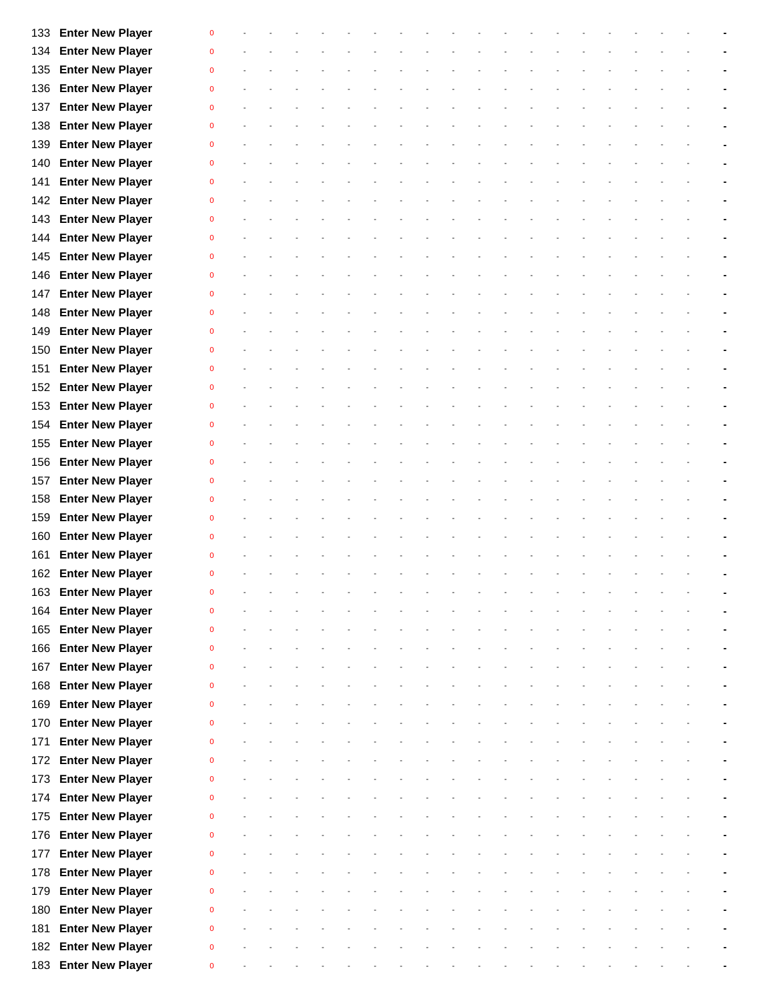|     | 133 Enter New Player                            | $\Omega$     |  |  |  |  |  |  |  |  |  |  |
|-----|-------------------------------------------------|--------------|--|--|--|--|--|--|--|--|--|--|
|     | <b>Enter New Player</b>                         | $\Omega$     |  |  |  |  |  |  |  |  |  |  |
| 134 |                                                 |              |  |  |  |  |  |  |  |  |  |  |
| 135 | <b>Enter New Player</b>                         | $\Omega$     |  |  |  |  |  |  |  |  |  |  |
| 136 | <b>Enter New Player</b>                         | $\mathbf 0$  |  |  |  |  |  |  |  |  |  |  |
| 137 | <b>Enter New Player</b>                         | $\mathbf{0}$ |  |  |  |  |  |  |  |  |  |  |
| 138 | <b>Enter New Player</b>                         | $\mathbf 0$  |  |  |  |  |  |  |  |  |  |  |
| 139 | <b>Enter New Player</b>                         | $\Omega$     |  |  |  |  |  |  |  |  |  |  |
| 140 | <b>Enter New Player</b>                         | $\mathbf 0$  |  |  |  |  |  |  |  |  |  |  |
| 141 | <b>Enter New Player</b>                         | $\mathbf{0}$ |  |  |  |  |  |  |  |  |  |  |
| 142 | <b>Enter New Player</b>                         | $\Omega$     |  |  |  |  |  |  |  |  |  |  |
| 143 | <b>Enter New Player</b>                         | $\Omega$     |  |  |  |  |  |  |  |  |  |  |
| 144 | <b>Enter New Player</b>                         | $\Omega$     |  |  |  |  |  |  |  |  |  |  |
| 145 | <b>Enter New Player</b>                         | $\Omega$     |  |  |  |  |  |  |  |  |  |  |
| 146 | <b>Enter New Player</b>                         | $\Omega$     |  |  |  |  |  |  |  |  |  |  |
| 147 | <b>Enter New Player</b>                         | $\Omega$     |  |  |  |  |  |  |  |  |  |  |
| 148 | <b>Enter New Player</b>                         | $\Omega$     |  |  |  |  |  |  |  |  |  |  |
| 149 | <b>Enter New Player</b>                         | $\mathbf{0}$ |  |  |  |  |  |  |  |  |  |  |
| 150 | <b>Enter New Player</b>                         | $\mathbf 0$  |  |  |  |  |  |  |  |  |  |  |
| 151 | <b>Enter New Player</b>                         | $\mathbf 0$  |  |  |  |  |  |  |  |  |  |  |
| 152 | <b>Enter New Player</b>                         | $\Omega$     |  |  |  |  |  |  |  |  |  |  |
| 153 | <b>Enter New Player</b>                         | $\mathbf{0}$ |  |  |  |  |  |  |  |  |  |  |
| 154 | <b>Enter New Player</b>                         | $\mathbf{0}$ |  |  |  |  |  |  |  |  |  |  |
| 155 | <b>Enter New Player</b>                         | $\Omega$     |  |  |  |  |  |  |  |  |  |  |
| 156 | <b>Enter New Player</b>                         | $\Omega$     |  |  |  |  |  |  |  |  |  |  |
| 157 | <b>Enter New Player</b>                         | $\Omega$     |  |  |  |  |  |  |  |  |  |  |
| 158 | <b>Enter New Player</b>                         | $\Omega$     |  |  |  |  |  |  |  |  |  |  |
| 159 | <b>Enter New Player</b>                         | $\Omega$     |  |  |  |  |  |  |  |  |  |  |
| 160 | <b>Enter New Player</b>                         | $\Omega$     |  |  |  |  |  |  |  |  |  |  |
| 161 | <b>Enter New Player</b>                         | $\Omega$     |  |  |  |  |  |  |  |  |  |  |
|     | 162 Enter New Player                            | $\mathbf 0$  |  |  |  |  |  |  |  |  |  |  |
|     |                                                 | 0            |  |  |  |  |  |  |  |  |  |  |
|     | 163 Enter New Player<br><b>Enter New Player</b> | $\mathbf 0$  |  |  |  |  |  |  |  |  |  |  |
| 164 |                                                 | $\mathbf{0}$ |  |  |  |  |  |  |  |  |  |  |
| 165 | <b>Enter New Player</b>                         |              |  |  |  |  |  |  |  |  |  |  |
| 166 | <b>Enter New Player</b>                         | $\mathbf{0}$ |  |  |  |  |  |  |  |  |  |  |
| 167 | <b>Enter New Player</b>                         | $\mathbf{0}$ |  |  |  |  |  |  |  |  |  |  |
| 168 | <b>Enter New Player</b>                         | $\mathbf{0}$ |  |  |  |  |  |  |  |  |  |  |
| 169 | <b>Enter New Player</b>                         | $\mathbf{0}$ |  |  |  |  |  |  |  |  |  |  |
| 170 | <b>Enter New Player</b>                         | $\Omega$     |  |  |  |  |  |  |  |  |  |  |
| 171 | <b>Enter New Player</b>                         | $\Omega$     |  |  |  |  |  |  |  |  |  |  |
| 172 | <b>Enter New Player</b>                         | $\Omega$     |  |  |  |  |  |  |  |  |  |  |
| 173 | <b>Enter New Player</b>                         | $\mathbf{0}$ |  |  |  |  |  |  |  |  |  |  |
| 174 | <b>Enter New Player</b>                         | $\Omega$     |  |  |  |  |  |  |  |  |  |  |
| 175 | <b>Enter New Player</b>                         | $\mathbf{0}$ |  |  |  |  |  |  |  |  |  |  |
| 176 | <b>Enter New Player</b>                         | $\mathbf{0}$ |  |  |  |  |  |  |  |  |  |  |
| 177 | <b>Enter New Player</b>                         | $\mathbf{0}$ |  |  |  |  |  |  |  |  |  |  |
| 178 | <b>Enter New Player</b>                         | $\Omega$     |  |  |  |  |  |  |  |  |  |  |
| 179 | <b>Enter New Player</b>                         | $\mathbf{0}$ |  |  |  |  |  |  |  |  |  |  |
| 180 | <b>Enter New Player</b>                         | $\mathbf{0}$ |  |  |  |  |  |  |  |  |  |  |
| 181 | <b>Enter New Player</b>                         | $\mathbf{0}$ |  |  |  |  |  |  |  |  |  |  |
| 182 | <b>Enter New Player</b>                         | $\mathbf{0}$ |  |  |  |  |  |  |  |  |  |  |
|     | 183 Enter New Player                            | $\bf{0}$     |  |  |  |  |  |  |  |  |  |  |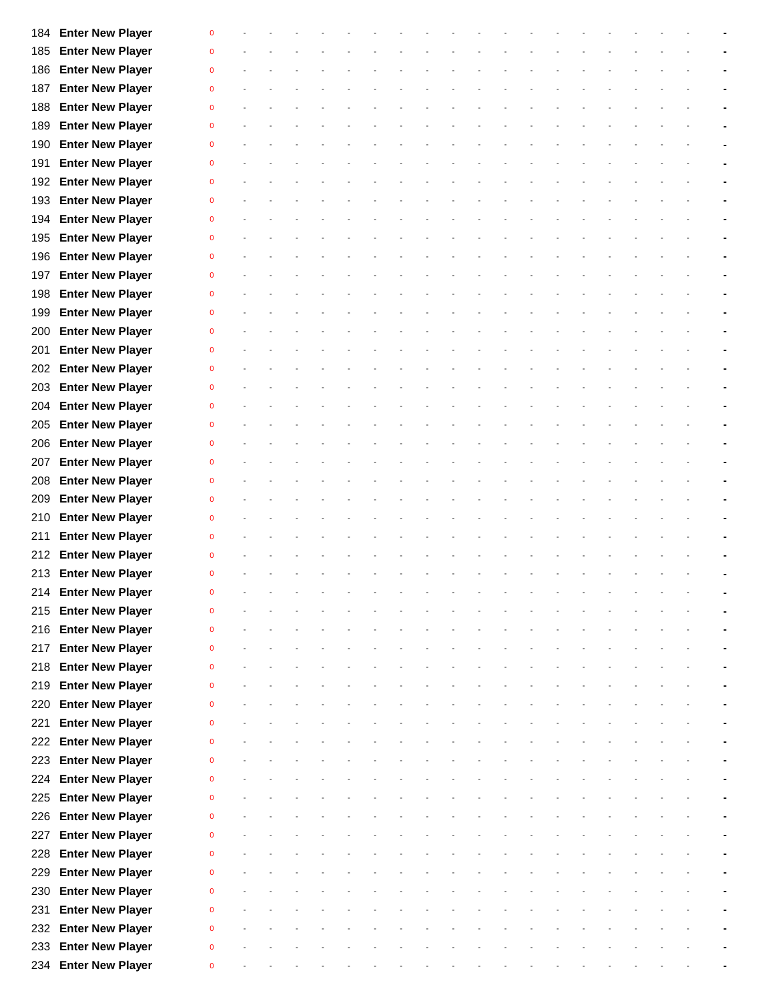|     | 184 Enter New Player    | $\Omega$     |  |  |  |  |  |  |  |  |  |  |
|-----|-------------------------|--------------|--|--|--|--|--|--|--|--|--|--|
| 185 | <b>Enter New Player</b> | $\Omega$     |  |  |  |  |  |  |  |  |  |  |
| 186 | <b>Enter New Player</b> | $\Omega$     |  |  |  |  |  |  |  |  |  |  |
| 187 | <b>Enter New Player</b> | $\mathbf 0$  |  |  |  |  |  |  |  |  |  |  |
| 188 | <b>Enter New Player</b> | $\mathbf{0}$ |  |  |  |  |  |  |  |  |  |  |
| 189 | <b>Enter New Player</b> | $\mathbf 0$  |  |  |  |  |  |  |  |  |  |  |
| 190 | <b>Enter New Player</b> | $\Omega$     |  |  |  |  |  |  |  |  |  |  |
| 191 | <b>Enter New Player</b> | $\mathbf 0$  |  |  |  |  |  |  |  |  |  |  |
| 192 | <b>Enter New Player</b> | $\mathbf{0}$ |  |  |  |  |  |  |  |  |  |  |
| 193 | <b>Enter New Player</b> | $\Omega$     |  |  |  |  |  |  |  |  |  |  |
| 194 | <b>Enter New Player</b> | $\Omega$     |  |  |  |  |  |  |  |  |  |  |
| 195 | <b>Enter New Player</b> | $\Omega$     |  |  |  |  |  |  |  |  |  |  |
| 196 | <b>Enter New Player</b> | $\Omega$     |  |  |  |  |  |  |  |  |  |  |
| 197 | <b>Enter New Player</b> | $\Omega$     |  |  |  |  |  |  |  |  |  |  |
| 198 | <b>Enter New Player</b> | $\Omega$     |  |  |  |  |  |  |  |  |  |  |
| 199 | <b>Enter New Player</b> | $\Omega$     |  |  |  |  |  |  |  |  |  |  |
| 200 | <b>Enter New Player</b> | $\mathbf{0}$ |  |  |  |  |  |  |  |  |  |  |
| 201 | <b>Enter New Player</b> | $\mathbf 0$  |  |  |  |  |  |  |  |  |  |  |
| 202 | <b>Enter New Player</b> | $\mathbf 0$  |  |  |  |  |  |  |  |  |  |  |
| 203 | <b>Enter New Player</b> | $\Omega$     |  |  |  |  |  |  |  |  |  |  |
| 204 | <b>Enter New Player</b> | $\mathbf{0}$ |  |  |  |  |  |  |  |  |  |  |
| 205 | <b>Enter New Player</b> | $\mathbf{0}$ |  |  |  |  |  |  |  |  |  |  |
| 206 | <b>Enter New Player</b> | $\Omega$     |  |  |  |  |  |  |  |  |  |  |
| 207 | <b>Enter New Player</b> | $\Omega$     |  |  |  |  |  |  |  |  |  |  |
| 208 | <b>Enter New Player</b> | $\Omega$     |  |  |  |  |  |  |  |  |  |  |
| 209 | <b>Enter New Player</b> | $\Omega$     |  |  |  |  |  |  |  |  |  |  |
| 210 | <b>Enter New Player</b> | $\Omega$     |  |  |  |  |  |  |  |  |  |  |
| 211 | <b>Enter New Player</b> | $\Omega$     |  |  |  |  |  |  |  |  |  |  |
|     | 212 Enter New Player    |              |  |  |  |  |  |  |  |  |  |  |
|     | 213 Enter New Player    | $\mathbf 0$  |  |  |  |  |  |  |  |  |  |  |
| 214 | <b>Enter New Player</b> | 0            |  |  |  |  |  |  |  |  |  |  |
| 215 | <b>Enter New Player</b> | $\mathbf 0$  |  |  |  |  |  |  |  |  |  |  |
| 216 | <b>Enter New Player</b> | $\mathbf{0}$ |  |  |  |  |  |  |  |  |  |  |
| 217 | <b>Enter New Player</b> | $\mathbf{0}$ |  |  |  |  |  |  |  |  |  |  |
| 218 | <b>Enter New Player</b> | $\mathbf{0}$ |  |  |  |  |  |  |  |  |  |  |
| 219 | <b>Enter New Player</b> | $\mathbf{0}$ |  |  |  |  |  |  |  |  |  |  |
| 220 | <b>Enter New Player</b> | $\mathbf{0}$ |  |  |  |  |  |  |  |  |  |  |
| 221 | <b>Enter New Player</b> | $\Omega$     |  |  |  |  |  |  |  |  |  |  |
| 222 | <b>Enter New Player</b> | $\mathbf{0}$ |  |  |  |  |  |  |  |  |  |  |
| 223 | <b>Enter New Player</b> | $\mathbf{0}$ |  |  |  |  |  |  |  |  |  |  |
| 224 | <b>Enter New Player</b> | $\mathbf{0}$ |  |  |  |  |  |  |  |  |  |  |
| 225 | <b>Enter New Player</b> | $\mathbf{0}$ |  |  |  |  |  |  |  |  |  |  |
| 226 | <b>Enter New Player</b> | $\mathbf{0}$ |  |  |  |  |  |  |  |  |  |  |
| 227 | <b>Enter New Player</b> | $\mathbf{0}$ |  |  |  |  |  |  |  |  |  |  |
| 228 | <b>Enter New Player</b> | $\mathbf{0}$ |  |  |  |  |  |  |  |  |  |  |
| 229 | <b>Enter New Player</b> | $\mathbf{0}$ |  |  |  |  |  |  |  |  |  |  |
| 230 | <b>Enter New Player</b> | $\mathbf{0}$ |  |  |  |  |  |  |  |  |  |  |
| 231 | <b>Enter New Player</b> | $\mathbf{0}$ |  |  |  |  |  |  |  |  |  |  |
| 232 | <b>Enter New Player</b> | $\mathbf{0}$ |  |  |  |  |  |  |  |  |  |  |
| 233 | <b>Enter New Player</b> | $\mathbf{0}$ |  |  |  |  |  |  |  |  |  |  |
| 234 | <b>Enter New Player</b> | $\bf{0}$     |  |  |  |  |  |  |  |  |  |  |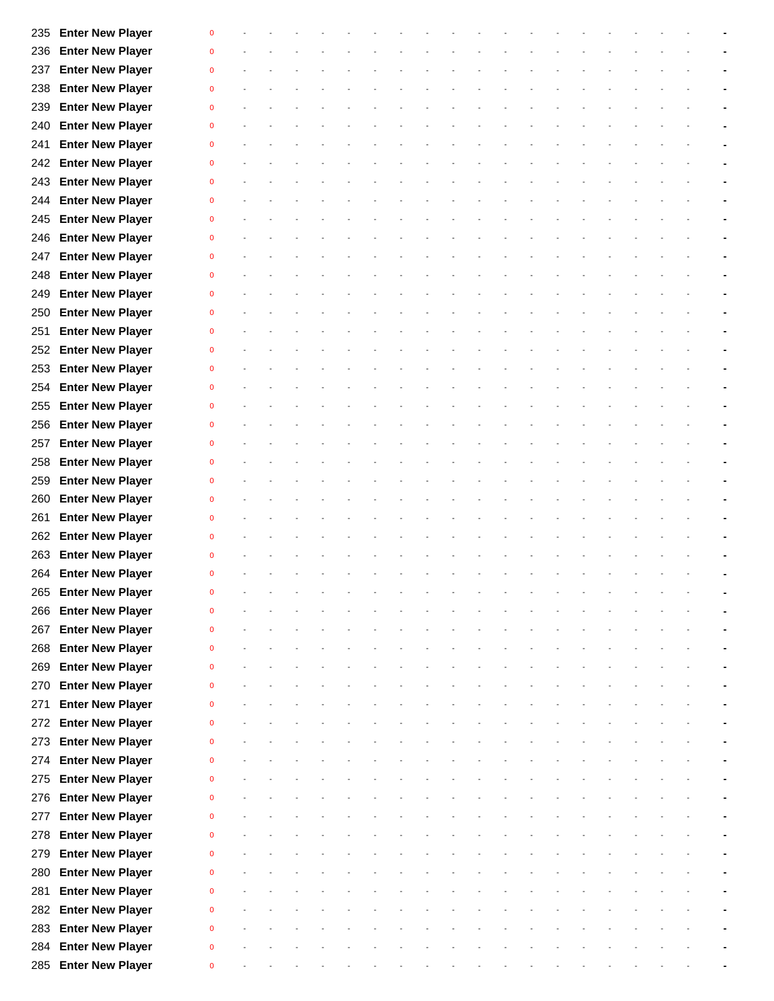|     | 235 Enter New Player    | $\mathbf 0$  |  |  |  |  |  |  |  |  |  |  |
|-----|-------------------------|--------------|--|--|--|--|--|--|--|--|--|--|
| 236 | <b>Enter New Player</b> | $\mathbf 0$  |  |  |  |  |  |  |  |  |  |  |
| 237 | <b>Enter New Player</b> | $\mathbf{0}$ |  |  |  |  |  |  |  |  |  |  |
| 238 | <b>Enter New Player</b> | $\mathbf{0}$ |  |  |  |  |  |  |  |  |  |  |
| 239 | <b>Enter New Player</b> | $\mathbf{0}$ |  |  |  |  |  |  |  |  |  |  |
| 240 | <b>Enter New Player</b> | $\mathbf{0}$ |  |  |  |  |  |  |  |  |  |  |
| 241 | <b>Enter New Player</b> | $\mathbf 0$  |  |  |  |  |  |  |  |  |  |  |
| 242 | <b>Enter New Player</b> | $\mathbf{0}$ |  |  |  |  |  |  |  |  |  |  |
| 243 | <b>Enter New Player</b> | $\mathbf{0}$ |  |  |  |  |  |  |  |  |  |  |
| 244 | <b>Enter New Player</b> | $\Omega$     |  |  |  |  |  |  |  |  |  |  |
| 245 | <b>Enter New Player</b> | $\Omega$     |  |  |  |  |  |  |  |  |  |  |
| 246 | <b>Enter New Player</b> | $\Omega$     |  |  |  |  |  |  |  |  |  |  |
| 247 | <b>Enter New Player</b> | $\mathbf{0}$ |  |  |  |  |  |  |  |  |  |  |
| 248 | <b>Enter New Player</b> | $\mathbf 0$  |  |  |  |  |  |  |  |  |  |  |
| 249 | <b>Enter New Player</b> | $\mathbf{0}$ |  |  |  |  |  |  |  |  |  |  |
| 250 | <b>Enter New Player</b> | $\mathbf 0$  |  |  |  |  |  |  |  |  |  |  |
| 251 | <b>Enter New Player</b> | $\mathbf{0}$ |  |  |  |  |  |  |  |  |  |  |
| 252 | <b>Enter New Player</b> | $\mathbf 0$  |  |  |  |  |  |  |  |  |  |  |
| 253 | <b>Enter New Player</b> | $\mathbf{0}$ |  |  |  |  |  |  |  |  |  |  |
| 254 | <b>Enter New Player</b> | $\mathbf 0$  |  |  |  |  |  |  |  |  |  |  |
| 255 | <b>Enter New Player</b> | $\mathbf{0}$ |  |  |  |  |  |  |  |  |  |  |
| 256 | <b>Enter New Player</b> | $\mathbf{0}$ |  |  |  |  |  |  |  |  |  |  |
| 257 | <b>Enter New Player</b> | $\Omega$     |  |  |  |  |  |  |  |  |  |  |
| 258 | <b>Enter New Player</b> | $\mathbf 0$  |  |  |  |  |  |  |  |  |  |  |
| 259 | <b>Enter New Player</b> | $\Omega$     |  |  |  |  |  |  |  |  |  |  |
| 260 | <b>Enter New Player</b> | $\mathbf{0}$ |  |  |  |  |  |  |  |  |  |  |
| 261 | <b>Enter New Player</b> | $\mathbf{0}$ |  |  |  |  |  |  |  |  |  |  |
| 262 | <b>Enter New Player</b> | $\mathbf{0}$ |  |  |  |  |  |  |  |  |  |  |
|     | 263 Enter New Player    | $\Omega$     |  |  |  |  |  |  |  |  |  |  |
|     | 264 Enter New Player    | $\mathbf{0}$ |  |  |  |  |  |  |  |  |  |  |
| 265 | <b>Enter New Player</b> | 0            |  |  |  |  |  |  |  |  |  |  |
| 266 | <b>Enter New Player</b> | $\mathbf 0$  |  |  |  |  |  |  |  |  |  |  |
| 267 | <b>Enter New Player</b> | $\mathbf{0}$ |  |  |  |  |  |  |  |  |  |  |
| 268 | <b>Enter New Player</b> | $\mathbf{0}$ |  |  |  |  |  |  |  |  |  |  |
| 269 | <b>Enter New Player</b> | $\mathbf 0$  |  |  |  |  |  |  |  |  |  |  |
| 270 | <b>Enter New Player</b> | $\mathbf 0$  |  |  |  |  |  |  |  |  |  |  |
| 271 | <b>Enter New Player</b> | $\mathbf 0$  |  |  |  |  |  |  |  |  |  |  |
| 272 | <b>Enter New Player</b> | $\mathbf 0$  |  |  |  |  |  |  |  |  |  |  |
| 273 | <b>Enter New Player</b> | $\mathbf{0}$ |  |  |  |  |  |  |  |  |  |  |
| 274 | <b>Enter New Player</b> | $\mathbf 0$  |  |  |  |  |  |  |  |  |  |  |
| 275 | <b>Enter New Player</b> | $\mathbf{0}$ |  |  |  |  |  |  |  |  |  |  |
| 276 | <b>Enter New Player</b> | $\mathbf 0$  |  |  |  |  |  |  |  |  |  |  |
| 277 | <b>Enter New Player</b> | $\mathbf{0}$ |  |  |  |  |  |  |  |  |  |  |
| 278 | <b>Enter New Player</b> | $\mathbf 0$  |  |  |  |  |  |  |  |  |  |  |
| 279 | <b>Enter New Player</b> | $\mathbf{0}$ |  |  |  |  |  |  |  |  |  |  |
| 280 | <b>Enter New Player</b> | $\mathbf 0$  |  |  |  |  |  |  |  |  |  |  |
| 281 | <b>Enter New Player</b> | $\mathbf 0$  |  |  |  |  |  |  |  |  |  |  |
| 282 | <b>Enter New Player</b> | $\mathbf 0$  |  |  |  |  |  |  |  |  |  |  |
| 283 | <b>Enter New Player</b> | $\Omega$     |  |  |  |  |  |  |  |  |  |  |
| 284 | <b>Enter New Player</b> | $\Omega$     |  |  |  |  |  |  |  |  |  |  |
|     | 285 Enter New Player    | $\pmb{0}$    |  |  |  |  |  |  |  |  |  |  |
|     |                         |              |  |  |  |  |  |  |  |  |  |  |